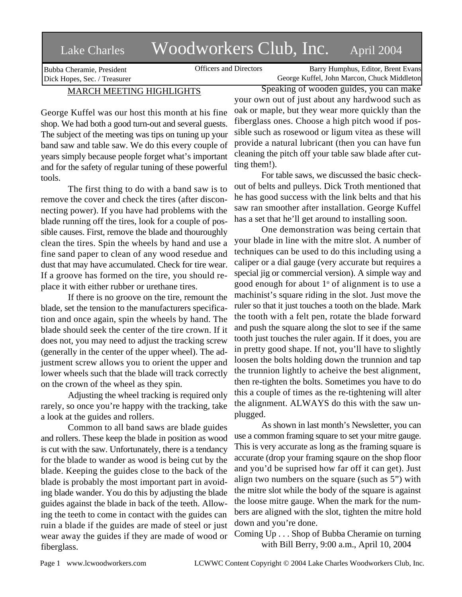# Lake Charles Woodworkers Club, Inc. April 2004

Bubba Cheramie, President Dick Hopes, Sec. / Treasurer

Officers and Directors Barry Humphus, Editor, Brent Evans George Kuffel, John Marcon, Chuck Middleton

# MARCH MEETING HIGHLIGHTS

George Kuffel was our host this month at his fine shop. We had both a good turn-out and several guests. The subject of the meeting was tips on tuning up your band saw and table saw. We do this every couple of years simply because people forget what's important and for the safety of regular tuning of these powerful tools.

The first thing to do with a band saw is to remove the cover and check the tires (after disconnecting power). If you have had problems with the blade running off the tires, look for a couple of possible causes. First, remove the blade and thouroughly clean the tires. Spin the wheels by hand and use a fine sand paper to clean of any wood resedue and dust that may have accumulated. Check for tire wear. If a groove has formed on the tire, you should replace it with either rubber or urethane tires.

If there is no groove on the tire, remount the blade, set the tension to the manufacturers specification and once again, spin the wheels by hand. The blade should seek the center of the tire crown. If it does not, you may need to adjust the tracking screw (generally in the center of the upper wheel). The adjustment screw allows you to orient the upper and lower wheels such that the blade will track correctly on the crown of the wheel as they spin.

Adjusting the wheel tracking is required only rarely, so once you're happy with the tracking, take a look at the guides and rollers.

Common to all band saws are blade guides and rollers. These keep the blade in position as wood is cut with the saw. Unfortunately, there is a tendancy for the blade to wander as wood is being cut by the blade. Keeping the guides close to the back of the blade is probably the most important part in avoiding blade wander. You do this by adjusting the blade guides against the blade in back of the teeth. Allowing the teeth to come in contact with the guides can ruin a blade if the guides are made of steel or just wear away the guides if they are made of wood or fiberglass.

Speaking of wooden guides, you can make your own out of just about any hardwood such as oak or maple, but they wear more quickly than the fiberglass ones. Choose a high pitch wood if possible such as rosewood or ligum vitea as these will provide a natural lubricant (then you can have fun cleaning the pitch off your table saw blade after cutting them!).

For table saws, we discussed the basic checkout of belts and pulleys. Dick Troth mentioned that he has good success with the link belts and that his saw ran smoother after installation. George Kuffel has a set that he'll get around to installing soon.

One demonstration was being certain that your blade in line with the mitre slot. A number of techniques can be used to do this including using a caliper or a dial gauge (very accurate but requires a special jig or commercial version). A simple way and good enough for about  $1^{\circ}$  of alignment is to use a machinist's square riding in the slot. Just move the ruler so that it just touches a tooth on the blade. Mark the tooth with a felt pen, rotate the blade forward and push the square along the slot to see if the same tooth just touches the ruler again. If it does, you are in pretty good shape. If not, you'll have to slightly loosen the bolts holding down the trunnion and tap the trunnion lightly to acheive the best alignment, then re-tighten the bolts. Sometimes you have to do this a couple of times as the re-tightening will alter the alignment. ALWAYS do this with the saw unplugged.

As shown in last month's Newsletter, you can use a common framing square to set your mitre gauge. This is very accurate as long as the framing square is accurate (drop your framing sqaure on the shop floor and you'd be suprised how far off it can get). Just align two numbers on the square (such as 5") with the mitre slot while the body of the square is against the loose mitre gauge. When the mark for the numbers are aligned with the slot, tighten the mitre hold down and you're done.

Coming Up . . . Shop of Bubba Cheramie on turning with Bill Berry, 9:00 a.m., April 10, 2004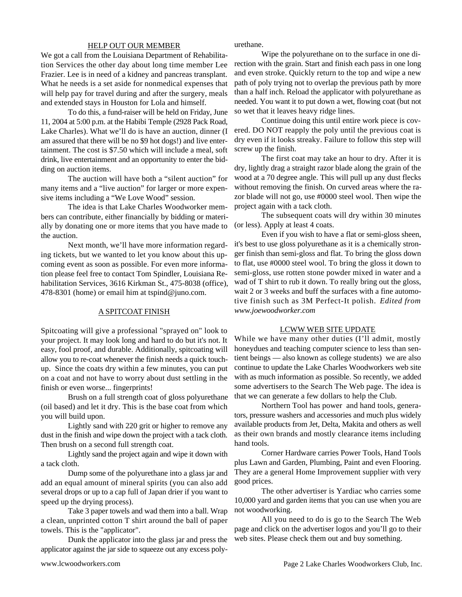#### HELP OUT OUR MEMBER

We got a call from the Louisiana Department of Rehabilitation Services the other day about long time member Lee Frazier. Lee is in need of a kidney and pancreas transplant. What he needs is a set aside for nonmedical expenses that will help pay for travel during and after the surgery, meals and extended stays in Houston for Lola and himself.

To do this, a fund-raiser will be held on Friday, June 11, 2004 at 5:00 p.m. at the Habibi Temple (2928 Pack Road, Lake Charles). What we'll do is have an auction, dinner (I am assured that there will be no \$9 hot dogs!) and live entertainment. The cost is \$7.50 which will include a meal, soft drink, live entertainment and an opportunity to enter the bidding on auction items.

The auction will have both a "silent auction" for many items and a "live auction" for larger or more expensive items including a "We Love Wood" session.

The idea is that Lake Charles Woodworker members can contribute, either financially by bidding or materially by donating one or more items that you have made to the auction.

Next month, we'll have more information regarding tickets, but we wanted to let you know about this upcoming event as soon as possible. For even more information please feel free to contact Tom Spindler, Louisiana Rehabilitation Services, 3616 Kirkman St., 475-8038 (office), 478-8301 (home) or email him at tspind@juno.com.

### A SPITCOAT FINISH

Spitcoating will give a professional "sprayed on" look to your project. It may look long and hard to do but it's not. It easy, fool proof, and durable. Additionally, spitcoating will allow you to re-coat whenever the finish needs a quick touchup. Since the coats dry within a few minutes, you can put on a coat and not have to worry about dust settling in the finish or even worse... fingerprints!

Brush on a full strength coat of gloss polyurethane (oil based) and let it dry. This is the base coat from which you will build upon.

Lightly sand with 220 grit or higher to remove any dust in the finish and wipe down the project with a tack cloth. Then brush on a second full strength coat.

Lightly sand the project again and wipe it down with a tack cloth.

Dump some of the polyurethane into a glass jar and add an equal amount of mineral spirits (you can also add several drops or up to a cap full of Japan drier if you want to speed up the drying process).

Take 3 paper towels and wad them into a ball. Wrap a clean, unprinted cotton T shirt around the ball of paper towels. This is the "applicator".

Dunk the applicator into the glass jar and press the applicator against the jar side to squeeze out any excess polyurethane.

Wipe the polyurethane on to the surface in one direction with the grain. Start and finish each pass in one long and even stroke. Quickly return to the top and wipe a new path of poly trying not to overlap the previous path by more than a half inch. Reload the applicator with polyurethane as needed. You want it to put down a wet, flowing coat (but not so wet that it leaves heavy ridge lines.

Continue doing this until entire work piece is covered. DO NOT reapply the poly until the previous coat is dry even if it looks streaky. Failure to follow this step will screw up the finish.

The first coat may take an hour to dry. After it is dry, lightly drag a straight razor blade along the grain of the wood at a 70 degree angle. This will pull up any dust flecks without removing the finish. On curved areas where the razor blade will not go, use #0000 steel wool. Then wipe the project again with a tack cloth.

The subsequent coats will dry within 30 minutes (or less). Apply at least 4 coats.

Even if you wish to have a flat or semi-gloss sheen, it's best to use gloss polyurethane as it is a chemically stronger finish than semi-gloss and flat. To bring the gloss down to flat, use #0000 steel wool. To bring the gloss it down to semi-gloss, use rotten stone powder mixed in water and a wad of T shirt to rub it down. To really bring out the gloss, wait 2 or 3 weeks and buff the surfaces with a fine automotive finish such as 3M Perfect-It polish. *Edited from www.joewoodworker.com*

#### LCWW WEB SITE UPDATE

While we have many other duties (I'll admit, mostly honeydues and teaching computer science to less than sentient beings — also known as college students) we are also continue to update the Lake Charles Woodworkers web site with as much information as possible. So recently, we added some advertisers to the Search The Web page. The idea is that we can generate a few dollars to help the Club.

Northern Tool has power and hand tools, generators, pressure washers and accessories and much plus widely available products from Jet, Delta, Makita and others as well as their own brands and mostly clearance items including hand tools.

Corner Hardware carries Power Tools, Hand Tools plus Lawn and Garden, Plumbing, Paint and even Flooring. They are a general Home Improvement supplier with very good prices.

The other advertiser is Yardiac who carries some 10,000 yard and garden items that you can use when you are not woodworking.

All you need to do is go to the Search The Web page and click on the advertiser logos and you'll go to their web sites. Please check them out and buy something.